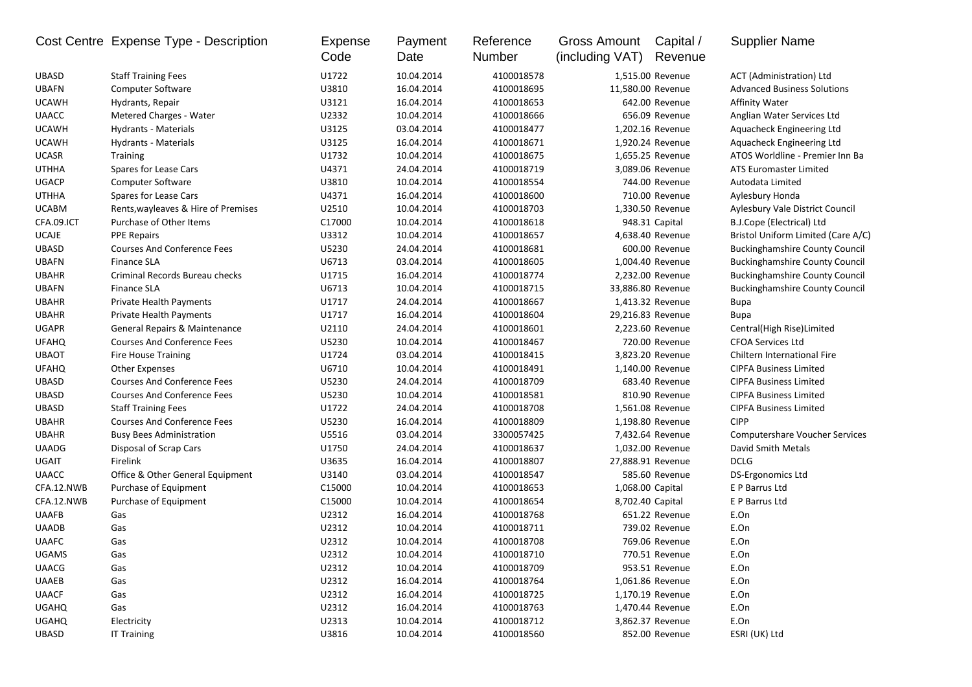|              | Cost Centre Expense Type - Description | Expense<br>Code | Payment<br>Date | Reference<br>Number | Gross Amount<br>(including VAT) | Capital /<br>Revenue | <b>Supplier Name</b>                  |
|--------------|----------------------------------------|-----------------|-----------------|---------------------|---------------------------------|----------------------|---------------------------------------|
| <b>UBASD</b> | <b>Staff Training Fees</b>             | U1722           | 10.04.2014      | 4100018578          |                                 | 1,515.00 Revenue     | ACT (Administration) Ltd              |
| <b>UBAFN</b> | <b>Computer Software</b>               | U3810           | 16.04.2014      | 4100018695          | 11,580.00 Revenue               |                      | <b>Advanced Business Solutions</b>    |
| <b>UCAWH</b> | Hydrants, Repair                       | U3121           | 16.04.2014      | 4100018653          |                                 | 642.00 Revenue       | Affinity Water                        |
| <b>UAACC</b> | Metered Charges - Water                | U2332           | 10.04.2014      | 4100018666          |                                 | 656.09 Revenue       | Anglian Water Services Ltd            |
| <b>UCAWH</b> | Hydrants - Materials                   | U3125           | 03.04.2014      | 4100018477          |                                 | 1,202.16 Revenue     | Aquacheck Engineering Ltd             |
| <b>UCAWH</b> | Hydrants - Materials                   | U3125           | 16.04.2014      | 4100018671          |                                 | 1,920.24 Revenue     | Aquacheck Engineering Ltd             |
| <b>UCASR</b> | Training                               | U1732           | 10.04.2014      | 4100018675          |                                 | 1,655.25 Revenue     | ATOS Worldline - Premier Inn Ba       |
| <b>UTHHA</b> | Spares for Lease Cars                  | U4371           | 24.04.2014      | 4100018719          |                                 | 3,089.06 Revenue     | ATS Euromaster Limited                |
| <b>UGACP</b> | <b>Computer Software</b>               | U3810           | 10.04.2014      | 4100018554          |                                 | 744.00 Revenue       | Autodata Limited                      |
| <b>UTHHA</b> | Spares for Lease Cars                  | U4371           | 16.04.2014      | 4100018600          |                                 | 710.00 Revenue       | Aylesbury Honda                       |
| <b>UCABM</b> | Rents, wayleaves & Hire of Premises    | U2510           | 10.04.2014      | 4100018703          |                                 | 1,330.50 Revenue     | Aylesbury Vale District Council       |
| CFA.09.ICT   | Purchase of Other Items                | C17000          | 10.04.2014      | 4100018618          |                                 | 948.31 Capital       | B.J.Cope (Electrical) Ltd             |
| <b>UCAJE</b> | <b>PPE Repairs</b>                     | U3312           | 10.04.2014      | 4100018657          |                                 | 4,638.40 Revenue     | Bristol Uniform Limited (Care A/C)    |
| <b>UBASD</b> | <b>Courses And Conference Fees</b>     | U5230           | 24.04.2014      | 4100018681          |                                 | 600.00 Revenue       | <b>Buckinghamshire County Council</b> |
| <b>UBAFN</b> | <b>Finance SLA</b>                     | U6713           | 03.04.2014      | 4100018605          |                                 | 1,004.40 Revenue     | <b>Buckinghamshire County Council</b> |
| <b>UBAHR</b> | Criminal Records Bureau checks         | U1715           | 16.04.2014      | 4100018774          |                                 | 2,232.00 Revenue     | <b>Buckinghamshire County Council</b> |
| <b>UBAFN</b> | <b>Finance SLA</b>                     | U6713           | 10.04.2014      | 4100018715          |                                 | 33,886.80 Revenue    | <b>Buckinghamshire County Council</b> |
| <b>UBAHR</b> | Private Health Payments                | U1717           | 24.04.2014      | 4100018667          |                                 | 1,413.32 Revenue     | Bupa                                  |
| <b>UBAHR</b> | Private Health Payments                | U1717           | 16.04.2014      | 4100018604          |                                 | 29,216.83 Revenue    | <b>Bupa</b>                           |
| <b>UGAPR</b> | General Repairs & Maintenance          | U2110           | 24.04.2014      | 4100018601          |                                 | 2,223.60 Revenue     | Central(High Rise)Limited             |
| <b>UFAHQ</b> | <b>Courses And Conference Fees</b>     | U5230           | 10.04.2014      | 4100018467          |                                 | 720.00 Revenue       | <b>CFOA Services Ltd</b>              |
| <b>UBAOT</b> | <b>Fire House Training</b>             | U1724           | 03.04.2014      | 4100018415          |                                 | 3,823.20 Revenue     | Chiltern International Fire           |
| <b>UFAHQ</b> | <b>Other Expenses</b>                  | U6710           | 10.04.2014      | 4100018491          |                                 | 1,140.00 Revenue     | <b>CIPFA Business Limited</b>         |
| <b>UBASD</b> | <b>Courses And Conference Fees</b>     | U5230           | 24.04.2014      | 4100018709          |                                 | 683.40 Revenue       | <b>CIPFA Business Limited</b>         |
| <b>UBASD</b> | <b>Courses And Conference Fees</b>     | U5230           | 10.04.2014      | 4100018581          |                                 | 810.90 Revenue       | <b>CIPFA Business Limited</b>         |
| <b>UBASD</b> | <b>Staff Training Fees</b>             | U1722           | 24.04.2014      | 4100018708          |                                 | 1,561.08 Revenue     | <b>CIPFA Business Limited</b>         |
| <b>UBAHR</b> | <b>Courses And Conference Fees</b>     | U5230           | 16.04.2014      | 4100018809          |                                 | 1,198.80 Revenue     | <b>CIPP</b>                           |
| <b>UBAHR</b> | <b>Busy Bees Administration</b>        | U5516           | 03.04.2014      | 3300057425          |                                 | 7,432.64 Revenue     | <b>Computershare Voucher Services</b> |
| <b>UAADG</b> | Disposal of Scrap Cars                 | U1750           | 24.04.2014      | 4100018637          |                                 | 1,032.00 Revenue     | David Smith Metals                    |
| <b>UGAIT</b> | Firelink                               | U3635           | 16.04.2014      | 4100018807          | 27,888.91 Revenue               |                      | <b>DCLG</b>                           |
| <b>UAACC</b> | Office & Other General Equipment       | U3140           | 03.04.2014      | 4100018547          |                                 | 585.60 Revenue       | <b>DS-Ergonomics Ltd</b>              |
| CFA.12.NWB   | Purchase of Equipment                  | C15000          | 10.04.2014      | 4100018653          | 1,068.00 Capital                |                      | E P Barrus Ltd                        |
| CFA.12.NWB   | Purchase of Equipment                  | C15000          | 10.04.2014      | 4100018654          | 8,702.40 Capital                |                      | E P Barrus Ltd                        |
| <b>UAAFB</b> | Gas                                    | U2312           | 16.04.2014      | 4100018768          |                                 | 651.22 Revenue       | E.On                                  |
| <b>UAADB</b> | Gas                                    | U2312           | 10.04.2014      | 4100018711          |                                 | 739.02 Revenue       | E.On                                  |
| <b>UAAFC</b> | Gas                                    | U2312           | 10.04.2014      | 4100018708          |                                 | 769.06 Revenue       | E.On                                  |
| <b>UGAMS</b> | Gas                                    | U2312           | 10.04.2014      | 4100018710          |                                 | 770.51 Revenue       | E.On                                  |
| <b>UAACG</b> | Gas                                    | U2312           | 10.04.2014      | 4100018709          |                                 | 953.51 Revenue       | E.On                                  |
| <b>UAAEB</b> | Gas                                    | U2312           | 16.04.2014      | 4100018764          |                                 | 1,061.86 Revenue     | E.On                                  |
| <b>UAACF</b> | Gas                                    | U2312           | 16.04.2014      | 4100018725          |                                 | 1,170.19 Revenue     | E.On                                  |
| <b>UGAHQ</b> | Gas                                    | U2312           | 16.04.2014      | 4100018763          |                                 | 1,470.44 Revenue     | E.On                                  |
| <b>UGAHQ</b> | Electricity                            | U2313           | 10.04.2014      | 4100018712          |                                 | 3,862.37 Revenue     | E.On                                  |
| UBASD        | <b>IT Training</b>                     | U3816           | 10.04.2014      | 4100018560          |                                 | 852.00 Revenue       | ESRI (UK) Ltd                         |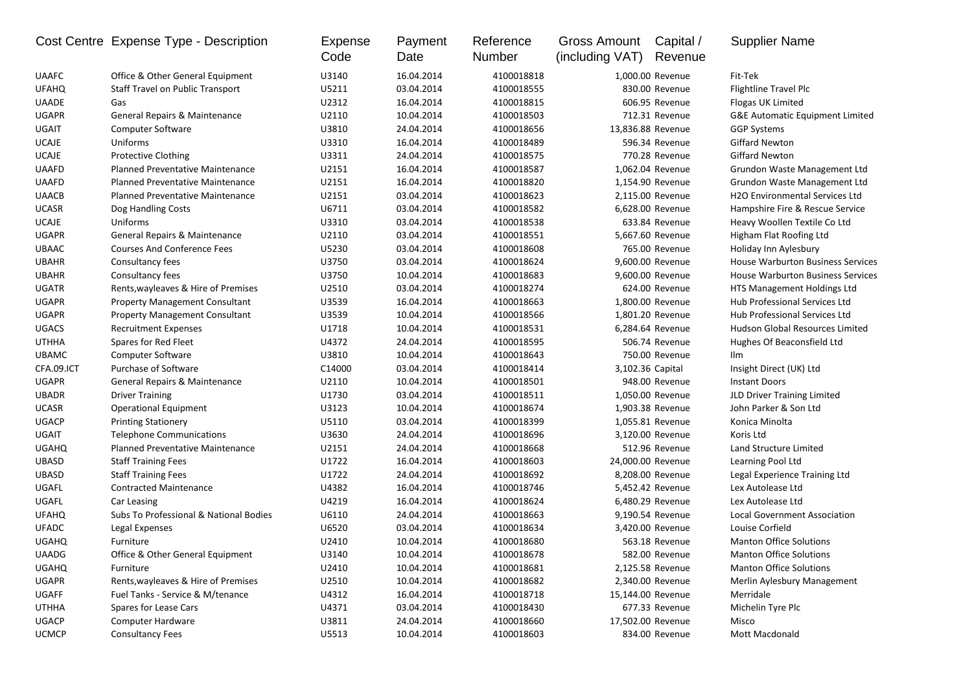|              | Cost Centre Expense Type - Description  | Expense<br>Code | Payment<br>Date | Reference<br>Number | <b>Gross Amount</b><br>(including VAT) | Capital /<br>Revenue | <b>Supplier Name</b>                       |
|--------------|-----------------------------------------|-----------------|-----------------|---------------------|----------------------------------------|----------------------|--------------------------------------------|
| <b>UAAFC</b> | Office & Other General Equipment        | U3140           | 16.04.2014      | 4100018818          |                                        | 1,000.00 Revenue     | Fit-Tek                                    |
| <b>UFAHQ</b> | Staff Travel on Public Transport        | U5211           | 03.04.2014      | 4100018555          |                                        | 830.00 Revenue       | <b>Flightline Travel Plc</b>               |
| <b>UAADE</b> | Gas                                     | U2312           | 16.04.2014      | 4100018815          |                                        | 606.95 Revenue       | Flogas UK Limited                          |
| <b>UGAPR</b> | General Repairs & Maintenance           | U2110           | 10.04.2014      | 4100018503          |                                        | 712.31 Revenue       | <b>G&amp;E Automatic Equipment Limited</b> |
| <b>UGAIT</b> | <b>Computer Software</b>                | U3810           | 24.04.2014      | 4100018656          |                                        | 13,836.88 Revenue    | <b>GGP Systems</b>                         |
| <b>UCAJE</b> | Uniforms                                | U3310           | 16.04.2014      | 4100018489          |                                        | 596.34 Revenue       | <b>Giffard Newton</b>                      |
| <b>UCAJE</b> | Protective Clothing                     | U3311           | 24.04.2014      | 4100018575          |                                        | 770.28 Revenue       | <b>Giffard Newton</b>                      |
| <b>UAAFD</b> | <b>Planned Preventative Maintenance</b> | U2151           | 16.04.2014      | 4100018587          |                                        | 1,062.04 Revenue     | Grundon Waste Management Ltd               |
| <b>UAAFD</b> | <b>Planned Preventative Maintenance</b> | U2151           | 16.04.2014      | 4100018820          |                                        | 1,154.90 Revenue     | Grundon Waste Management Ltd               |
| <b>UAACB</b> | <b>Planned Preventative Maintenance</b> | U2151           | 03.04.2014      | 4100018623          |                                        | 2,115.00 Revenue     | <b>H2O Environmental Services Ltd</b>      |
| <b>UCASR</b> | Dog Handling Costs                      | U6711           | 03.04.2014      | 4100018582          |                                        | 6,628.00 Revenue     | Hampshire Fire & Rescue Service            |
| <b>UCAJE</b> | <b>Uniforms</b>                         | U3310           | 03.04.2014      | 4100018538          |                                        | 633.84 Revenue       | Heavy Woollen Textile Co Ltd               |
| <b>UGAPR</b> | General Repairs & Maintenance           | U2110           | 03.04.2014      | 4100018551          |                                        | 5,667.60 Revenue     | Higham Flat Roofing Ltd                    |
| <b>UBAAC</b> | <b>Courses And Conference Fees</b>      | U5230           | 03.04.2014      | 4100018608          |                                        | 765.00 Revenue       | Holiday Inn Aylesbury                      |
| <b>UBAHR</b> | Consultancy fees                        | U3750           | 03.04.2014      | 4100018624          |                                        | 9,600.00 Revenue     | <b>House Warburton Business Services</b>   |
| <b>UBAHR</b> | Consultancy fees                        | U3750           | 10.04.2014      | 4100018683          |                                        | 9,600.00 Revenue     | <b>House Warburton Business Services</b>   |
| <b>UGATR</b> | Rents, wayleaves & Hire of Premises     | U2510           | 03.04.2014      | 4100018274          |                                        | 624.00 Revenue       | HTS Management Holdings Ltd                |
| <b>UGAPR</b> | <b>Property Management Consultant</b>   | U3539           | 16.04.2014      | 4100018663          |                                        | 1,800.00 Revenue     | Hub Professional Services Ltd              |
| <b>UGAPR</b> | <b>Property Management Consultant</b>   | U3539           | 10.04.2014      | 4100018566          |                                        | 1,801.20 Revenue     | Hub Professional Services Ltd              |
| <b>UGACS</b> | <b>Recruitment Expenses</b>             | U1718           | 10.04.2014      | 4100018531          |                                        | 6,284.64 Revenue     | <b>Hudson Global Resources Limited</b>     |
| <b>UTHHA</b> | Spares for Red Fleet                    | U4372           | 24.04.2014      | 4100018595          |                                        | 506.74 Revenue       | Hughes Of Beaconsfield Ltd                 |
| <b>UBAMC</b> | <b>Computer Software</b>                | U3810           | 10.04.2014      | 4100018643          |                                        | 750.00 Revenue       | Ilm                                        |
| CFA.09.ICT   | Purchase of Software                    | C14000          | 03.04.2014      | 4100018414          |                                        | 3,102.36 Capital     | Insight Direct (UK) Ltd                    |
| <b>UGAPR</b> | General Repairs & Maintenance           | U2110           | 10.04.2014      | 4100018501          |                                        | 948.00 Revenue       | <b>Instant Doors</b>                       |
| <b>UBADR</b> | <b>Driver Training</b>                  | U1730           | 03.04.2014      | 4100018511          |                                        | 1,050.00 Revenue     | JLD Driver Training Limited                |
| <b>UCASR</b> | <b>Operational Equipment</b>            | U3123           | 10.04.2014      | 4100018674          |                                        | 1,903.38 Revenue     | John Parker & Son Ltd                      |
| <b>UGACP</b> | <b>Printing Stationery</b>              | U5110           | 03.04.2014      | 4100018399          |                                        | 1,055.81 Revenue     | Konica Minolta                             |
| <b>UGAIT</b> | <b>Telephone Communications</b>         | U3630           | 24.04.2014      | 4100018696          |                                        | 3,120.00 Revenue     | Koris Ltd                                  |
| <b>UGAHQ</b> | <b>Planned Preventative Maintenance</b> | U2151           | 24.04.2014      | 4100018668          |                                        | 512.96 Revenue       | Land Structure Limited                     |
| <b>UBASD</b> | <b>Staff Training Fees</b>              | U1722           | 16.04.2014      | 4100018603          |                                        | 24,000.00 Revenue    | Learning Pool Ltd                          |
| <b>UBASD</b> | <b>Staff Training Fees</b>              | U1722           | 24.04.2014      | 4100018692          |                                        | 8,208.00 Revenue     | Legal Experience Training Ltd              |
| UGAFL        | <b>Contracted Maintenance</b>           | U4382           | 16.04.2014      | 4100018746          |                                        | 5,452.42 Revenue     | Lex Autolease Ltd                          |
| UGAFL        | Car Leasing                             | U4219           | 16.04.2014      | 4100018624          |                                        | 6,480.29 Revenue     | Lex Autolease Ltd                          |
| <b>UFAHQ</b> | Subs To Professional & National Bodies  | U6110           | 24.04.2014      | 4100018663          |                                        | 9,190.54 Revenue     | Local Government Association               |
| <b>UFADC</b> | Legal Expenses                          | U6520           | 03.04.2014      | 4100018634          |                                        | 3,420.00 Revenue     | Louise Corfield                            |
| <b>UGAHQ</b> | Furniture                               | U2410           | 10.04.2014      | 4100018680          |                                        | 563.18 Revenue       | <b>Manton Office Solutions</b>             |
| <b>UAADG</b> | Office & Other General Equipment        | U3140           | 10.04.2014      | 4100018678          |                                        | 582.00 Revenue       | <b>Manton Office Solutions</b>             |
| <b>UGAHQ</b> | Furniture                               | U2410           | 10.04.2014      | 4100018681          |                                        | 2,125.58 Revenue     | <b>Manton Office Solutions</b>             |
| <b>UGAPR</b> | Rents, wayleaves & Hire of Premises     | U2510           | 10.04.2014      | 4100018682          |                                        | 2,340.00 Revenue     | Merlin Aylesbury Management                |
| UGAFF        | Fuel Tanks - Service & M/tenance        | U4312           | 16.04.2014      | 4100018718          |                                        | 15,144.00 Revenue    | Merridale                                  |
| <b>UTHHA</b> | Spares for Lease Cars                   | U4371           | 03.04.2014      | 4100018430          |                                        | 677.33 Revenue       | Michelin Tyre Plc                          |
| <b>UGACP</b> | Computer Hardware                       | U3811           | 24.04.2014      | 4100018660          |                                        | 17,502.00 Revenue    | Misco                                      |
| <b>UCMCP</b> | <b>Consultancy Fees</b>                 | U5513           | 10.04.2014      | 4100018603          |                                        | 834.00 Revenue       | Mott Macdonald                             |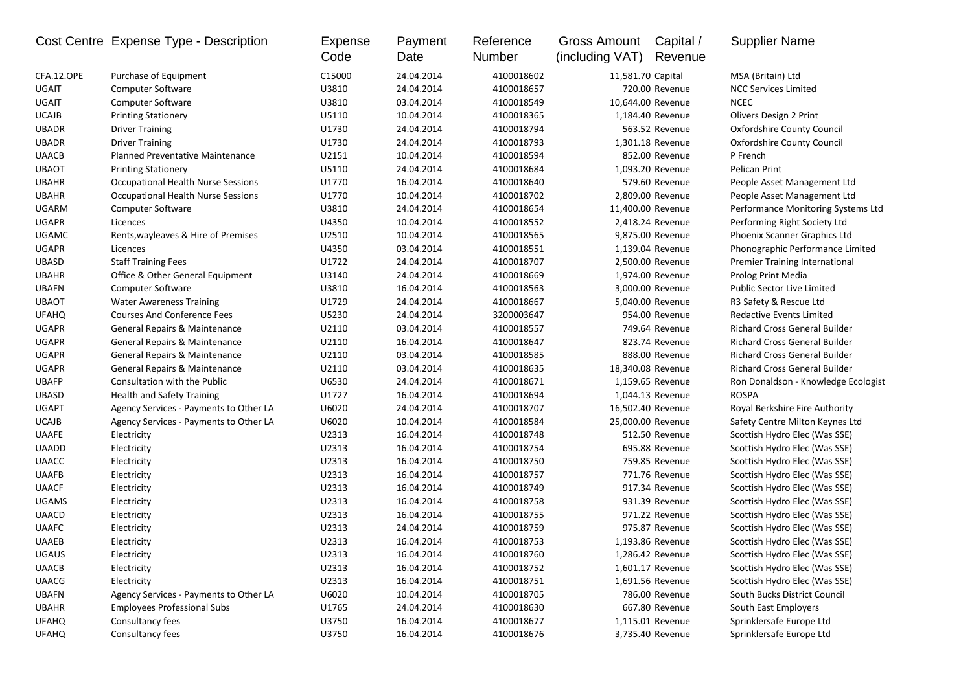|              | Cost Centre Expense Type - Description    | Expense<br>Code | Payment<br>Date | Reference<br>Number | <b>Gross Amount</b><br>(including VAT) | Capital /<br>Revenue | <b>Supplier Name</b>                 |
|--------------|-------------------------------------------|-----------------|-----------------|---------------------|----------------------------------------|----------------------|--------------------------------------|
| CFA.12.OPE   | Purchase of Equipment                     | C15000          | 24.04.2014      | 4100018602          | 11,581.70 Capital                      |                      | MSA (Britain) Ltd                    |
| <b>UGAIT</b> | <b>Computer Software</b>                  | U3810           | 24.04.2014      | 4100018657          |                                        | 720.00 Revenue       | <b>NCC Services Limited</b>          |
| UGAIT        | <b>Computer Software</b>                  | U3810           | 03.04.2014      | 4100018549          |                                        | 10,644.00 Revenue    | <b>NCEC</b>                          |
| <b>UCAJB</b> | <b>Printing Stationery</b>                | U5110           | 10.04.2014      | 4100018365          |                                        | 1,184.40 Revenue     | Olivers Design 2 Print               |
| <b>UBADR</b> | <b>Driver Training</b>                    | U1730           | 24.04.2014      | 4100018794          |                                        | 563.52 Revenue       | Oxfordshire County Council           |
| <b>UBADR</b> | <b>Driver Training</b>                    | U1730           | 24.04.2014      | 4100018793          |                                        | 1,301.18 Revenue     | Oxfordshire County Council           |
| <b>UAACB</b> | Planned Preventative Maintenance          | U2151           | 10.04.2014      | 4100018594          |                                        | 852.00 Revenue       | P French                             |
| <b>UBAOT</b> | <b>Printing Stationery</b>                | U5110           | 24.04.2014      | 4100018684          |                                        | 1,093.20 Revenue     | Pelican Print                        |
| <b>UBAHR</b> | Occupational Health Nurse Sessions        | U1770           | 16.04.2014      | 4100018640          |                                        | 579.60 Revenue       | People Asset Management Ltd          |
| <b>UBAHR</b> | <b>Occupational Health Nurse Sessions</b> | U1770           | 10.04.2014      | 4100018702          |                                        | 2,809.00 Revenue     | People Asset Management Ltd          |
| <b>UGARM</b> | Computer Software                         | U3810           | 24.04.2014      | 4100018654          | 11,400.00 Revenue                      |                      | Performance Monitoring Systems Ltd   |
| <b>UGAPR</b> | Licences                                  | U4350           | 10.04.2014      | 4100018552          |                                        | 2,418.24 Revenue     | Performing Right Society Ltd         |
| <b>UGAMC</b> | Rents, wayleaves & Hire of Premises       | U2510           | 10.04.2014      | 4100018565          |                                        | 9,875.00 Revenue     | Phoenix Scanner Graphics Ltd         |
| <b>UGAPR</b> | Licences                                  | U4350           | 03.04.2014      | 4100018551          |                                        | 1,139.04 Revenue     | Phonographic Performance Limited     |
| <b>UBASD</b> | <b>Staff Training Fees</b>                | U1722           | 24.04.2014      | 4100018707          |                                        | 2,500.00 Revenue     | Premier Training International       |
| <b>UBAHR</b> | Office & Other General Equipment          | U3140           | 24.04.2014      | 4100018669          |                                        | 1,974.00 Revenue     | Prolog Print Media                   |
| <b>UBAFN</b> | <b>Computer Software</b>                  | U3810           | 16.04.2014      | 4100018563          |                                        | 3,000.00 Revenue     | <b>Public Sector Live Limited</b>    |
| <b>UBAOT</b> | <b>Water Awareness Training</b>           | U1729           | 24.04.2014      | 4100018667          |                                        | 5,040.00 Revenue     | R3 Safety & Rescue Ltd               |
| <b>UFAHQ</b> | <b>Courses And Conference Fees</b>        | U5230           | 24.04.2014      | 3200003647          |                                        | 954.00 Revenue       | <b>Redactive Events Limited</b>      |
| <b>UGAPR</b> | General Repairs & Maintenance             | U2110           | 03.04.2014      | 4100018557          |                                        | 749.64 Revenue       | <b>Richard Cross General Builder</b> |
| <b>UGAPR</b> | General Repairs & Maintenance             | U2110           | 16.04.2014      | 4100018647          |                                        | 823.74 Revenue       | <b>Richard Cross General Builder</b> |
| <b>UGAPR</b> | General Repairs & Maintenance             | U2110           | 03.04.2014      | 4100018585          |                                        | 888.00 Revenue       | <b>Richard Cross General Builder</b> |
| <b>UGAPR</b> | General Repairs & Maintenance             | U2110           | 03.04.2014      | 4100018635          |                                        | 18,340.08 Revenue    | <b>Richard Cross General Builder</b> |
| <b>UBAFP</b> | Consultation with the Public              | U6530           | 24.04.2014      | 4100018671          |                                        | 1,159.65 Revenue     | Ron Donaldson - Knowledge Ecologist  |
| <b>UBASD</b> | <b>Health and Safety Training</b>         | U1727           | 16.04.2014      | 4100018694          |                                        | 1,044.13 Revenue     | <b>ROSPA</b>                         |
| <b>UGAPT</b> | Agency Services - Payments to Other LA    | U6020           | 24.04.2014      | 4100018707          |                                        | 16,502.40 Revenue    | Royal Berkshire Fire Authority       |
| <b>UCAJB</b> | Agency Services - Payments to Other LA    | U6020           | 10.04.2014      | 4100018584          |                                        | 25,000.00 Revenue    | Safety Centre Milton Keynes Ltd      |
| <b>UAAFE</b> | Electricity                               | U2313           | 16.04.2014      | 4100018748          |                                        | 512.50 Revenue       | Scottish Hydro Elec (Was SSE)        |
| <b>UAADD</b> | Electricity                               | U2313           | 16.04.2014      | 4100018754          |                                        | 695.88 Revenue       | Scottish Hydro Elec (Was SSE)        |
| <b>UAACC</b> | Electricity                               | U2313           | 16.04.2014      | 4100018750          |                                        | 759.85 Revenue       | Scottish Hydro Elec (Was SSE)        |
| <b>UAAFB</b> | Electricity                               | U2313           | 16.04.2014      | 4100018757          |                                        | 771.76 Revenue       | Scottish Hydro Elec (Was SSE)        |
| <b>UAACF</b> | Electricity                               | U2313           | 16.04.2014      | 4100018749          |                                        | 917.34 Revenue       | Scottish Hydro Elec (Was SSE)        |
| <b>UGAMS</b> | Electricity                               | U2313           | 16.04.2014      | 4100018758          |                                        | 931.39 Revenue       | Scottish Hydro Elec (Was SSE)        |
| <b>UAACD</b> | Electricity                               | U2313           | 16.04.2014      | 4100018755          |                                        | 971.22 Revenue       | Scottish Hydro Elec (Was SSE)        |
| <b>UAAFC</b> | Electricity                               | U2313           | 24.04.2014      | 4100018759          |                                        | 975.87 Revenue       | Scottish Hydro Elec (Was SSE)        |
| <b>UAAEB</b> | Electricity                               | U2313           | 16.04.2014      | 4100018753          |                                        | 1,193.86 Revenue     | Scottish Hydro Elec (Was SSE)        |
| <b>UGAUS</b> | Electricity                               | U2313           | 16.04.2014      | 4100018760          |                                        | 1,286.42 Revenue     | Scottish Hydro Elec (Was SSE)        |
| <b>UAACB</b> | Electricity                               | U2313           | 16.04.2014      | 4100018752          |                                        | 1,601.17 Revenue     | Scottish Hydro Elec (Was SSE)        |
| <b>UAACG</b> | Electricity                               | U2313           | 16.04.2014      | 4100018751          |                                        | 1,691.56 Revenue     | Scottish Hydro Elec (Was SSE)        |
| <b>UBAFN</b> | Agency Services - Payments to Other LA    | U6020           | 10.04.2014      | 4100018705          |                                        | 786.00 Revenue       | South Bucks District Council         |
| <b>UBAHR</b> | <b>Employees Professional Subs</b>        | U1765           | 24.04.2014      | 4100018630          |                                        | 667.80 Revenue       | South East Employers                 |
| <b>UFAHQ</b> | Consultancy fees                          | U3750           | 16.04.2014      | 4100018677          |                                        | 1,115.01 Revenue     | Sprinklersafe Europe Ltd             |
| <b>UFAHQ</b> | Consultancy fees                          | U3750           | 16.04.2014      | 4100018676          |                                        | 3,735.40 Revenue     | Sprinklersafe Europe Ltd             |